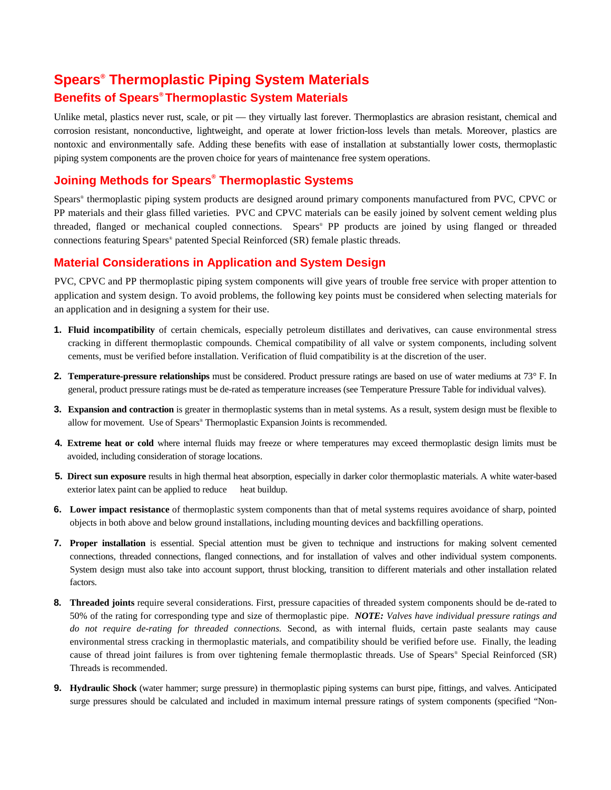# **Spears® Thermoplastic Piping System Materials Benefits of Spears® Thermoplastic System Materials**

Unlike metal, plastics never rust, scale, or pit — they virtually last forever. Thermoplastics are abrasion resistant, chemical and corrosion resistant, nonconductive, lightweight, and operate at lower friction-loss levels than metals. Moreover, plastics are nontoxic and environmentally safe. Adding these benefits with ease of installation at substantially lower costs, thermoplastic piping system components are the proven choice for years of maintenance free system operations.

### **Joining Methods for Spears® Thermoplastic Systems**

Spears® thermoplastic piping system products are designed around primary components manufactured from PVC, CPVC or PP materials and their glass filled varieties. PVC and CPVC materials can be easily joined by solvent cement welding plus threaded, flanged or mechanical coupled connections. Spears® PP products are joined by using flanged or threaded connections featuring Spears® patented Special Reinforced (SR) female plastic threads.

### **Material Considerations in Application and System Design**

PVC, CPVC and PP thermoplastic piping system components will give years of trouble free service with proper attention to application and system design. To avoid problems, the following key points must be considered when selecting materials for an application and in designing a system for their use.

- **1. Fluid incompatibility** of certain chemicals, especially petroleum distillates and derivatives, can cause environmental stress cracking in different thermoplastic compounds. Chemical compatibility of all valve or system components, including solvent cements, must be verified before installation. Verification of fluid compatibility is at the discretion of the user.
- **2. Temperature-pressure relationships** must be considered. Product pressure ratings are based on use of water mediums at 73° F. In general, product pressure ratings must be de-rated as temperature increases (see Temperature Pressure Table for individual valves).
- **3. Expansion and contraction** is greater in thermoplastic systems than in metal systems. As a result, system design must be flexible to allow for movement. Use of Spears® Thermoplastic Expansion Joints is recommended.
- **4. Extreme heat or cold** where internal fluids may freeze or where temperatures may exceed thermoplastic design limits must be avoided, including consideration of storage locations.
- **5. Direct sun exposure** results in high thermal heat absorption, especially in darker color thermoplastic materials. A white water-based exterior latex paint can be applied to reduce heat buildup.
- **6. Lower impact resistance** of thermoplastic system components than that of metal systems requires avoidance of sharp, pointed objects in both above and below ground installations, including mounting devices and backfilling operations.
- **7. Proper installation** is essential. Special attention must be given to technique and instructions for making solvent cemented connections, threaded connections, flanged connections, and for installation of valves and other individual system components. System design must also take into account support, thrust blocking, transition to different materials and other installation related factors.
- **8. Threaded joints** require several considerations. First, pressure capacities of threaded system components should be de-rated to 50% of the rating for corresponding type and size of thermoplastic pipe. *NOTE: Valves have individual pressure ratings and do not require de-rating for threaded connections.* Second, as with internal fluids, certain paste sealants may cause environmental stress cracking in thermoplastic materials, and compatibility should be verified before use. Finally, the leading cause of thread joint failures is from over tightening female thermoplastic threads. Use of Spears® Special Reinforced (SR) Threads is recommended.
- **9. Hydraulic Shock** (water hammer; surge pressure) in thermoplastic piping systems can burst pipe, fittings, and valves. Anticipated surge pressures should be calculated and included in maximum internal pressure ratings of system components (specified "Non-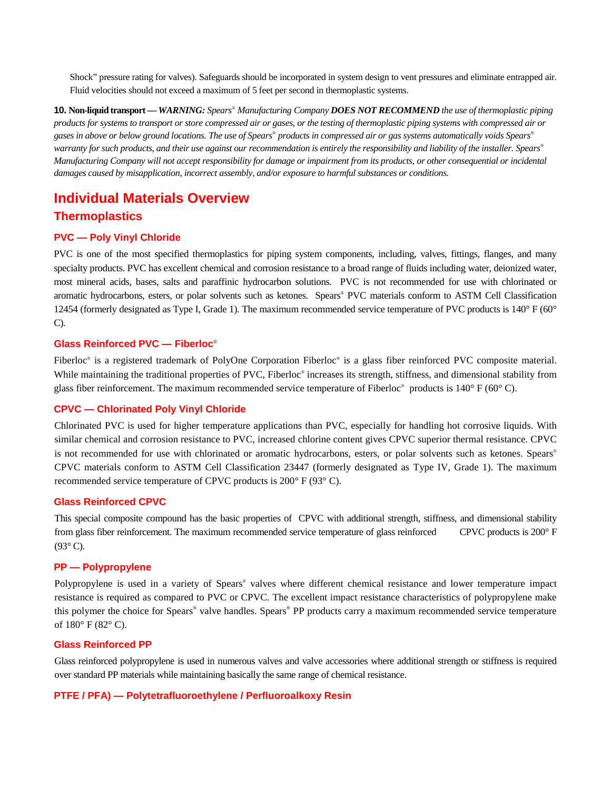Shock" pressure rating for valves). Safeguards should be incorporated in system design to vent pressures and eliminate entrapped air. Fluid velocities should not exceed a maximum of 5 feet per second in thermoplastic systems.

**10. Non-liquid transport —** *WARNING: Spears® Manufacturing Company DOES NOT RECOMMEND the use of thermoplastic piping products for systems to transport or store compressed air or gases, or the testing of thermoplastic piping systems with compressed air or gases in above or below ground locations. The use of Spears® products in compressed air or gas systems automatically voids Spears® warranty for such products, and their use against our recommendation is entirely the responsibility and liability of the installer. Spears® Manufacturing Company will not accept responsibility for damage or impairment from its products, or other consequential or incidental damages caused by misapplication, incorrect assembly, and/or exposure to harmful substances or conditions.*

## **Individual Materials Overview Thermoplastics**

#### **PVC — Poly Vinyl Chloride**

PVC is one of the most specified thermoplastics for piping system components, including, valves, fittings, flanges, and many specialty products. PVC has excellent chemical and corrosion resistance to a broad range of fluids including water, deionized water, most mineral acids, bases, salts and paraffinic hydrocarbon solutions. PVC is not recommended for use with chlorinated or aromatic hydrocarbons, esters, or polar solvents such as ketones. Spears® PVC materials conform to ASTM Cell Classification 12454 (formerly designated as Type I, Grade 1). The maximum recommended service temperature of PVC products is  $140^{\circ}$  F (60 $^{\circ}$ C).

#### **Glass Reinforced PVC — Fiberloc®**

Fiberloc® is a registered trademark of PolyOne Corporation Fiberloc® is a glass fiber reinforced PVC composite material. While maintaining the traditional properties of PVC, Fiberloc<sup>®</sup> increases its strength, stiffness, and dimensional stability from glass fiber reinforcement. The maximum recommended service temperature of Fiberloc<sup>®</sup> products is 140° F (60°C).

#### **CPVC — Chlorinated Poly Vinyl Chloride**

Chlorinated PVC is used for higher temperature applications than PVC, especially for handling hot corrosive liquids. With similar chemical and corrosion resistance to PVC, increased chlorine content gives CPVC superior thermal resistance. CPVC is not recommended for use with chlorinated or aromatic hydrocarbons, esters, or polar solvents such as ketones. Spears<sup>®</sup> CPVC materials conform to ASTM Cell Classification 23447 (formerly designated as Type IV, Grade 1). The maximum recommended service temperature of CPVC products is 200° F (93° C).

#### **Glass Reinforced CPVC**

This special composite compound has the basic properties of CPVC with additional strength, stiffness, and dimensional stability from glass fiber reinforcement. The maximum recommended service temperature of glass reinforced CPVC products is 200° F (93° C).

#### **PP — Polypropylene**

Polypropylene is used in a variety of Spears® valves where different chemical resistance and lower temperature impact resistance is required as compared to PVC or CPVC. The excellent impact resistance characteristics of polypropylene make this polymer the choice for Spears® valve handles. Spears® PP products carry a maximum recommended service temperature of  $180^{\circ}$  F (82 $^{\circ}$  C).

#### **Glass Reinforced PP**

Glass reinforced polypropylene is used in numerous valves and valve accessories where additional strength or stiffness is required over standard PP materials while maintaining basically the same range of chemical resistance.

#### **PTFE / PFA) — Polytetrafluoroethylene / Perfluoroalkoxy Resin**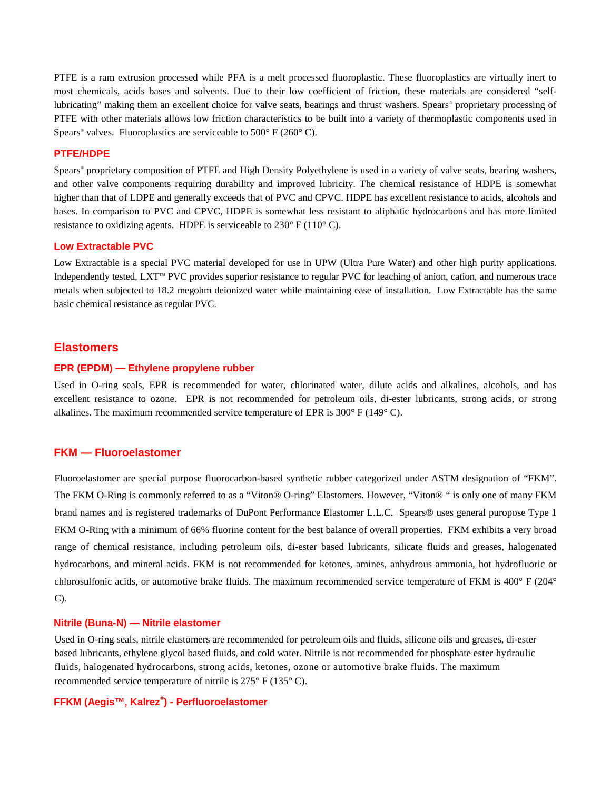PTFE is a ram extrusion processed while PFA is a melt processed fluoroplastic. These fluoroplastics are virtually inert to most chemicals, acids bases and solvents. Due to their low coefficient of friction, these materials are considered "selflubricating" making them an excellent choice for valve seats, bearings and thrust washers. Spears® proprietary processing of PTFE with other materials allows low friction characteristics to be built into a variety of thermoplastic components used in Spears<sup>®</sup> valves. Fluoroplastics are serviceable to  $500^{\circ}$  F (260 $^{\circ}$  C).

#### **PTFE/HDPE**

Spears® proprietary composition of PTFE and High Density Polyethylene is used in a variety of valve seats, bearing washers, and other valve components requiring durability and improved lubricity. The chemical resistance of HDPE is somewhat higher than that of LDPE and generally exceeds that of PVC and CPVC. HDPE has excellent resistance to acids, alcohols and bases. In comparison to PVC and CPVC, HDPE is somewhat less resistant to aliphatic hydrocarbons and has more limited resistance to oxidizing agents. HDPE is serviceable to 230° F (110° C).

#### **Low Extractable PVC**

Low Extractable is a special PVC material developed for use in UPW (Ultra Pure Water) and other high purity applications. Independently tested, LXT<sup> $M$ </sup> PVC provides superior resistance to regular PVC for leaching of anion, cation, and numerous trace metals when subjected to 18.2 megohm deionized water while maintaining ease of installation. Low Extractable has the same basic chemical resistance as regular PVC.

#### **Elastomers**

#### **EPR (EPDM) — Ethylene propylene rubber**

Used in O-ring seals, EPR is recommended for water, chlorinated water, dilute acids and alkalines, alcohols, and has excellent resistance to ozone. EPR is not recommended for petroleum oils, di-ester lubricants, strong acids, or strong alkalines. The maximum recommended service temperature of EPR is  $300^{\circ}$  F (149 $^{\circ}$  C).

#### **FKM — Fluoroelastomer**

Fluoroelastomer are special purpose fluorocarbon-based synthetic rubber categorized under ASTM designation of "FKM". The FKM O-Ring is commonly referred to as a "Viton® O-ring" Elastomers. However, "Viton® " is only one of many FKM brand names and is registered trademarks of DuPont Performance Elastomer L.L.C. Spears® uses general puropose Type 1 FKM O-Ring with a minimum of 66% fluorine content for the best balance of overall properties. FKM exhibits a very broad range of chemical resistance, including petroleum oils, di-ester based lubricants, silicate fluids and greases, halogenated hydrocarbons, and mineral acids. FKM is not recommended for ketones, amines, anhydrous ammonia, hot hydrofluoric or chlorosulfonic acids, or automotive brake fluids. The maximum recommended service temperature of FKM is 400° F (204° C).

#### **Nitrile (Buna-N) — Nitrile elastomer**

Used in O-ring seals, nitrile elastomers are recommended for petroleum oils and fluids, silicone oils and greases, di-ester based lubricants, ethylene glycol based fluids, and cold water. Nitrile is not recommended for phosphate ester hydraulic fluids, halogenated hydrocarbons, strong acids, ketones, ozone or automotive brake fluids. The maximum recommended service temperature of nitrile is 275° F (135° C).

#### **FFKM (Aegis™, Kalrez® ) - Perfluoroelastomer**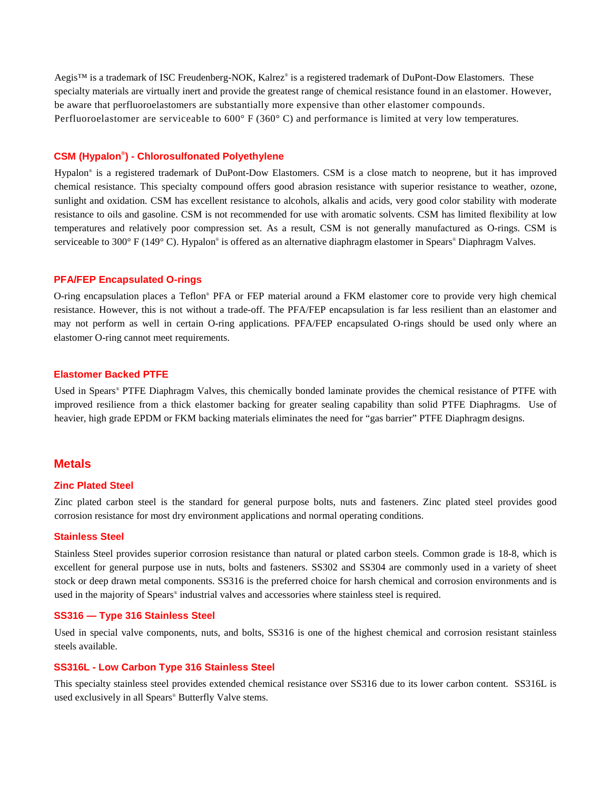Aegis™ is a trademark of ISC Freudenberg-NOK, Kalrez® is a registered trademark of DuPont-Dow Elastomers. These specialty materials are virtually inert and provide the greatest range of chemical resistance found in an elastomer. However, be aware that perfluoroelastomers are substantially more expensive than other elastomer compounds. Perfluoroelastomer are serviceable to 600° F (360° C) and performance is limited at very low temperatures.

#### **CSM (Hypalon® ) - Chlorosulfonated Polyethylene**

Hypalon® is a registered trademark of DuPont-Dow Elastomers. CSM is a close match to neoprene, but it has improved chemical resistance. This specialty compound offers good abrasion resistance with superior resistance to weather, ozone, sunlight and oxidation. CSM has excellent resistance to alcohols, alkalis and acids, very good color stability with moderate resistance to oils and gasoline. CSM is not recommended for use with aromatic solvents. CSM has limited flexibility at low temperatures and relatively poor compression set. As a result, CSM is not generally manufactured as O-rings. CSM is serviceable to 300° F (149° C). Hypalon<sup>®</sup> is offered as an alternative diaphragm elastomer in Spears<sup>®</sup> Diaphragm Valves.

#### **PFA/FEP Encapsulated O-rings**

O-ring encapsulation places a Teflon® PFA or FEP material around a FKM elastomer core to provide very high chemical resistance. However, this is not without a trade-off. The PFA/FEP encapsulation is far less resilient than an elastomer and may not perform as well in certain O-ring applications. PFA/FEP encapsulated O-rings should be used only where an elastomer O-ring cannot meet requirements.

#### **Elastomer Backed PTFE**

Used in Spears® PTFE Diaphragm Valves, this chemically bonded laminate provides the chemical resistance of PTFE with improved resilience from a thick elastomer backing for greater sealing capability than solid PTFE Diaphragms. Use of heavier, high grade EPDM or FKM backing materials eliminates the need for "gas barrier" PTFE Diaphragm designs.

#### **Metals**

#### **Zinc Plated Steel**

Zinc plated carbon steel is the standard for general purpose bolts, nuts and fasteners. Zinc plated steel provides good corrosion resistance for most dry environment applications and normal operating conditions.

#### **Stainless Steel**

Stainless Steel provides superior corrosion resistance than natural or plated carbon steels. Common grade is 18-8, which is excellent for general purpose use in nuts, bolts and fasteners. SS302 and SS304 are commonly used in a variety of sheet stock or deep drawn metal components. SS316 is the preferred choice for harsh chemical and corrosion environments and is used in the majority of Spears® industrial valves and accessories where stainless steel is required.

#### **SS316 — Type 316 Stainless Steel**

Used in special valve components, nuts, and bolts, SS316 is one of the highest chemical and corrosion resistant stainless steels available.

#### **SS316L - Low Carbon Type 316 Stainless Steel**

This specialty stainless steel provides extended chemical resistance over SS316 due to its lower carbon content. SS316L is used exclusively in all Spears® Butterfly Valve stems.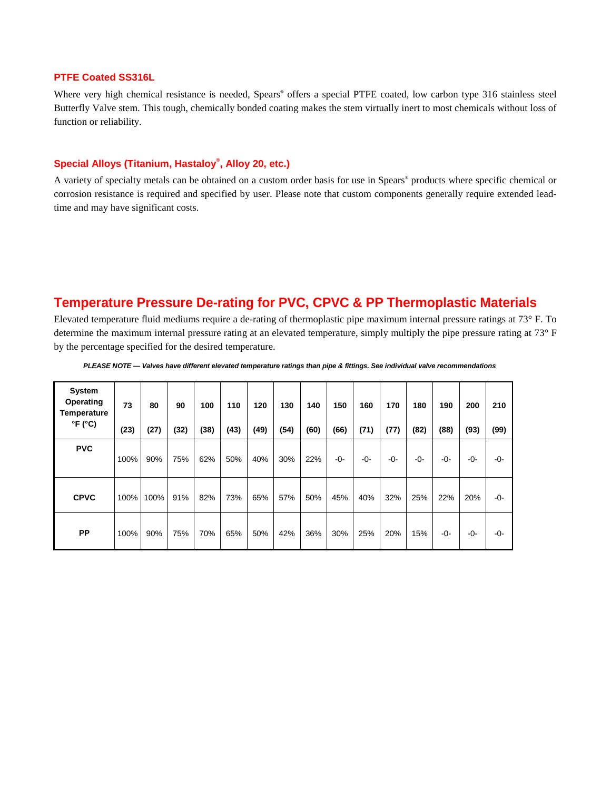#### **PTFE Coated SS316L**

Where very high chemical resistance is needed, Spears® offers a special PTFE coated, low carbon type 316 stainless steel Butterfly Valve stem. This tough, chemically bonded coating makes the stem virtually inert to most chemicals without loss of function or reliability.

#### **Special Alloys (Titanium, Hastaloy® , Alloy 20, etc.)**

A variety of specialty metals can be obtained on a custom order basis for use in Spears® products where specific chemical or corrosion resistance is required and specified by user. Please note that custom components generally require extended leadtime and may have significant costs.

## **Temperature Pressure De-rating for PVC, CPVC & PP Thermoplastic Materials**

Elevated temperature fluid mediums require a de-rating of thermoplastic pipe maximum internal pressure ratings at 73° F. To determine the maximum internal pressure rating at an elevated temperature, simply multiply the pipe pressure rating at 73° F by the percentage specified for the desired temperature.

| System<br>Operating<br><b>Temperature</b><br>$\degree$ F ( $\degree$ C) | 73<br>(23) | 80<br>(27) | 90<br>(32) | 100<br>(38) | 110<br>(43) | 120<br>(49) | 130<br>(54) | 140<br>(60) | 150<br>(66) | 160<br>(71) | 170<br>(77) | 180<br>(82) | 190<br>(88) | 200<br>(93) | 210<br>(99) |
|-------------------------------------------------------------------------|------------|------------|------------|-------------|-------------|-------------|-------------|-------------|-------------|-------------|-------------|-------------|-------------|-------------|-------------|
| <b>PVC</b>                                                              | 100%       | 90%        | 75%        | 62%         | 50%         | 40%         | 30%         | 22%         | $-0-$       | $-0-$       | -0-         | -0-         | -0-         | $-0-$       | -0-         |
| <b>CPVC</b>                                                             | 100%       | 100%       | 91%        | 82%         | 73%         | 65%         | 57%         | 50%         | 45%         | 40%         | 32%         | 25%         | 22%         | 20%         | -0-         |
| <b>PP</b>                                                               | 100%       | 90%        | 75%        | 70%         | 65%         | 50%         | 42%         | 36%         | 30%         | 25%         | 20%         | 15%         | -0-         | -0-         | -0-         |

 *PLEASE NOTE — Valves have different elevated temperature ratings than pipe & fittings. See individual valve recommendations*